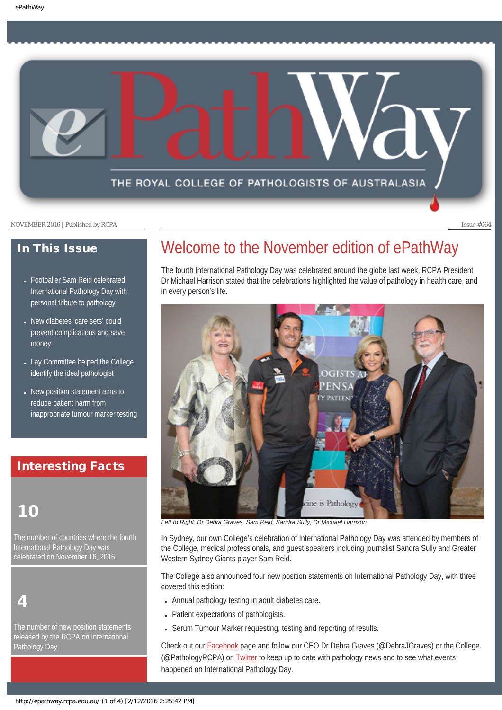

### In This Issue

- [Footballer Sam Reid celebrated](#page-1-0) [International Pathology Day with](#page-1-0)  [personal tribute to pathology](#page-1-0)
- [New diabetes](#page-1-1) 'care sets' could [prevent complications and save](#page-1-1)  [money](#page-1-1)
- [Lay Committee helped the College](#page-2-0) [identify the ideal pathologist](#page-2-0)
- New position statement aims to [reduce patient harm from](#page-2-1) [inappropriate tumour marker testing](#page-2-1)

### Interesting Facts

## 10

The number of countries where the fourth International Pathology Day was celebrated on November 16, 2016.

4

The number of new position statements released by the RCPA on International Pathology Day.

# Welcome to the November edition of ePathWay

The fourth International Pathology Day was celebrated around the globe last week. RCPA President Dr Michael Harrison stated that the celebrations highlighted the value of pathology in health care, and in every person's life.



*Left to Right: Dr Debra Graves, Sam Reid, Sandra Sully, Dr Michael Harrison*

In Sydney, our own College's celebration of International Pathology Day was attended by members of the College, medical professionals, and guest speakers including journalist Sandra Sully and Greater Western Sydney Giants player Sam Reid.

The College also announced four new position statements on International Pathology Day, with three covered this edition:

- Annual pathology testing in adult diabetes care.
- Patient expectations of pathologists.
- Serum Tumour Marker requesting, testing and reporting of results.

Check out our [Facebook](https://www.facebook.com/TheRoyalCollegeOfPathologistsOfAustralasia/) page and follow our CEO Dr Debra Graves (@DebraJGraves) or the College (@PathologyRCPA) on [Twitter](https://twitter.com/pathologyrcpa) to keep up to date with pathology news and to see what events happened on International Pathology Day.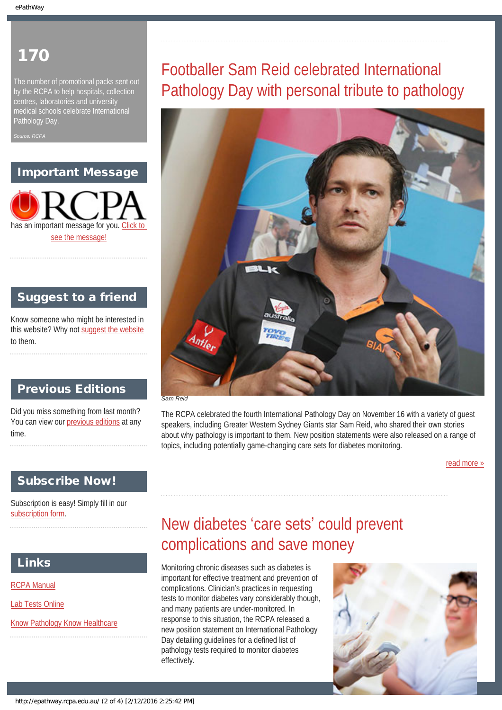## <span id="page-1-0"></span>170

The number of promotional packs sent out by the RCPA to help hospitals, collection centres, laboratories and university medical schools celebrate International Pathology Day.

*Source: RCPA*

### Important Message

has an important message for you. C [see the message!](http://epathway.rcpa.edu.au/notice.html)

### Suggest to a friend

Know someone who might be interested in this website? Why not [suggest the website](mailto:?Subject=I%20think%20you%20should%20read%20this%20Newsletter=
http://epathway.rcpa.edu.au/index.html) to them.

### Previous Editions

Did you miss something from last month? You can view our [previous editions](#page-4-0) at any time.

### Subscribe Now!

<span id="page-1-1"></span>Subscription is easy! Simply fill in our [subscription form](http://epathway.rcpa.edu.au/subscription.html).

### Links

[RCPA Manual](http://rcpamanual.edu.au/)

[Lab Tests Online](http://www.labtestsonline.org.au/)

[Know Pathology Know Healthcare](http://knowpathology.com.au/)

# Footballer Sam Reid celebrated International Pathology Day with personal tribute to pathology



The RCPA celebrated the fourth International Pathology Day on November 16 with a variety of guest speakers, including Greater Western Sydney Giants star Sam Reid, who shared their own stories about why pathology is important to them. New position statements were also released on a range of topics, including potentially game-changing care sets for diabetes monitoring.

[read more »](#page-6-0)

# New diabetes 'care sets' could prevent complications and save money

Monitoring chronic diseases such as diabetes is important for effective treatment and prevention of complications. Clinician's practices in requesting tests to monitor diabetes vary considerably though, and many patients are under-monitored. In response to this situation, the RCPA released a new position statement on International Pathology Day detailing guidelines for a defined list of pathology tests required to monitor diabetes effectively.

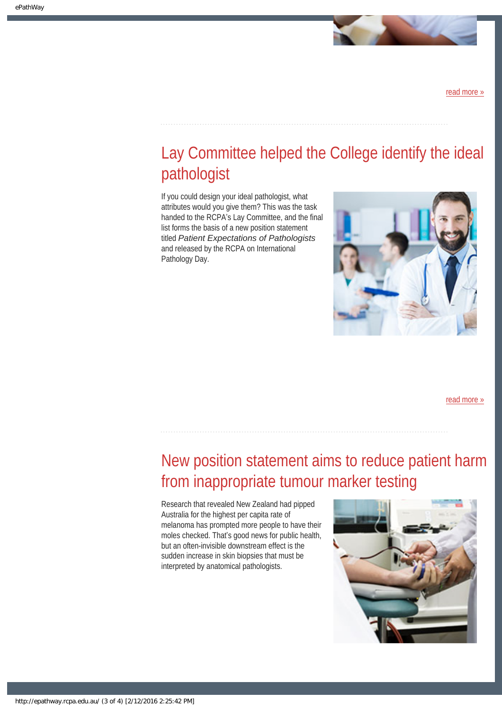

[read more »](#page-8-0)

# <span id="page-2-0"></span>Lay Committee helped the College identify the ideal pathologist

If you could design your ideal pathologist, what attributes would you give them? This was the task handed to the RCPA's Lay Committee, and the final list forms the basis of a new position statement titled *Patient Expectations of Pathologists* and released by the RCPA on International Pathology Day.



[read more »](#page-10-0)

# <span id="page-2-1"></span>New position statement aims to reduce patient harm from inappropriate tumour marker testing

Research that revealed New Zealand had pipped Australia for the highest per capita rate of melanoma has prompted more people to have their moles checked. That's good news for public health, but an often-invisible downstream effect is the sudden increase in skin biopsies that must be interpreted by anatomical pathologists.

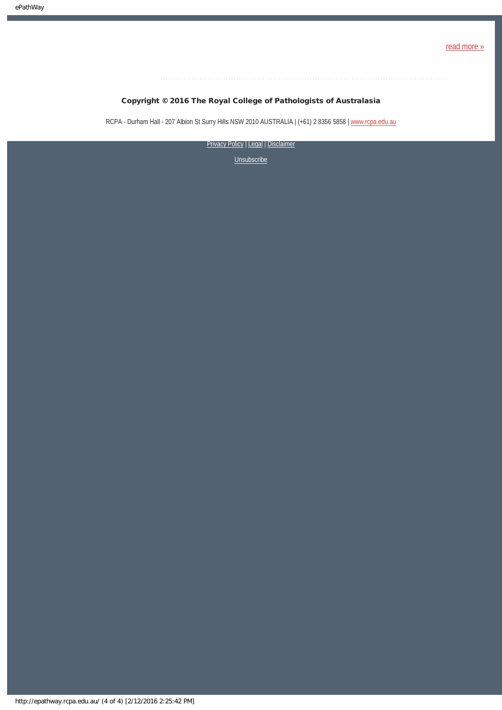

### Copyright © 2016 The Royal College of Pathologists of Australasia

RCPA - Durham Hall - 207 Albion St Surry Hills NSW 2010 AUSTRALIA | (+61) 2 8356 5858 | [www.rcpa.edu.au](https://www.rcpa.edu.au/)

[Privacy Policy](https://www.rcpa.edu.au/Privacy-Policy.aspx) | [Legal](https://www.rcpa.edu.au/Legal.aspx) | Disclaimer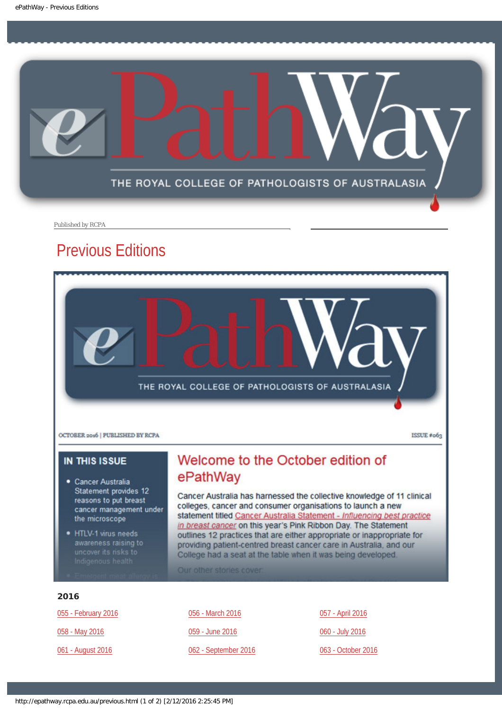<span id="page-4-0"></span>

Published by RCPA

## Previous Editions



### **IN THIS ISSUE**

- · Cancer Australia Statement provides 12 reasons to put breast cancer management under the microscope
- HTLV-1 virus needs awareness raising to

### Welcome to the October edition of ePathWay

Cancer Australia has harnessed the collective knowledge of 11 clinical colleges, cancer and consumer organisations to launch a new statement titled Cancer Australia Statement - Influencing best practice in breast cancer on this year's Pink Ribbon Day. The Statement outlines 12 practices that are either appropriate or inappropriate for providing patient-centred breast cancer care in Australia, and our College had a seat at the table when it was being developed.

Our other stories cover

#### 2016

| 055 - February 2016 | 056 - March 2016     | 057 - April 2016   |
|---------------------|----------------------|--------------------|
| 058 - May 2016      | 059 - June 2016      | 060 - July 2016    |
| 061 - August 2016   | 062 - September 2016 | 063 - October 2016 |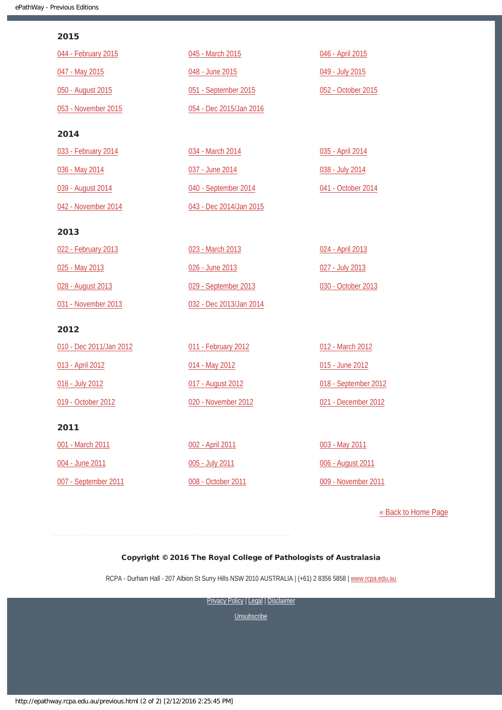#### 2015

| 044 - February 2015     | 045 - March 2015        | 046 - April 2015     |
|-------------------------|-------------------------|----------------------|
| 047 - May 2015          | 048 - June 2015         | 049 - July 2015      |
| 050 - August 2015       | 051 - September 2015    | 052 - October 2015   |
| 053 - November 2015     | 054 - Dec 2015/Jan 2016 |                      |
| 2014                    |                         |                      |
| 033 - February 2014     | 034 - March 2014        | 035 - April 2014     |
| 036 - May 2014          | 037 - June 2014         | 038 - July 2014      |
| 039 - August 2014       | 040 - September 2014    | 041 - October 2014   |
| 042 - November 2014     | 043 - Dec 2014/Jan 2015 |                      |
| 2013                    |                         |                      |
| 022 - February 2013     | 023 - March 2013        | 024 - April 2013     |
| 025 - May 2013          | 026 - June 2013         | 027 - July 2013      |
| 028 - August 2013       | 029 - September 2013    | 030 - October 2013   |
| 031 - November 2013     | 032 - Dec 2013/Jan 2014 |                      |
| 2012                    |                         |                      |
| 010 - Dec 2011/Jan 2012 | 011 - February 2012     | 012 - March 2012     |
| 013 - April 2012        | 014 - May 2012          | 015 - June 2012      |
| 016 - July 2012         | 017 - August 2012       | 018 - September 2012 |
| 019 - October 2012      | 020 - November 2012     | 021 - December 2012  |
| 2011                    |                         |                      |
| 001 - March 2011        | 002 - April 2011        | 003 - May 2011       |
| 004 - June 2011         | 005 - July 2011         | 006 - August 2011    |
| 007 - September 2011    | 008 - October 2011      | 009 - November 2011  |

[« Back to Home Page](http://epathway.rcpa.edu.au/index.html)

### Copyright © 2016 The Royal College of Pathologists of Australasia

RCPA - Durham Hall - 207 Albion St Surry Hills NSW 2010 AUSTRALIA | (+61) 2 8356 5858 | [www.rcpa.edu.au](https://www.rcpa.edu.au/)

[Privacy Policy](https://www.rcpa.edu.au/Content-Library/Privacy.aspx) | [Legal](https://www.rcpa.edu.au/Legal.aspx) | Disclaimer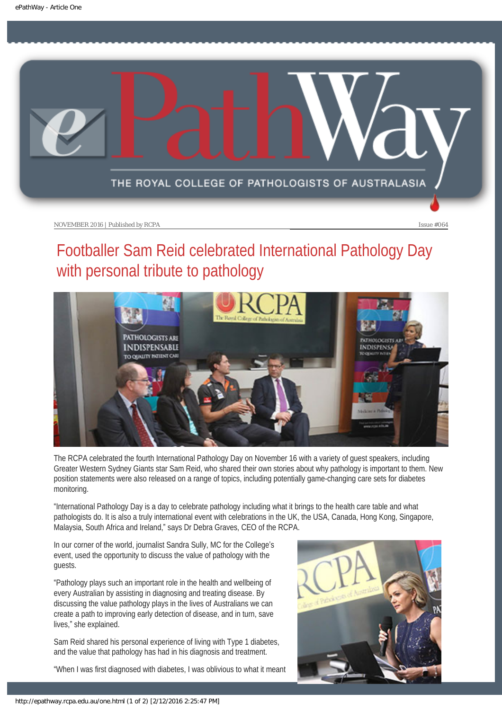<span id="page-6-0"></span>

# Footballer Sam Reid celebrated International Pathology Day with personal tribute to pathology



The RCPA celebrated the fourth International Pathology Day on November 16 with a variety of guest speakers, including Greater Western Sydney Giants star Sam Reid, who shared their own stories about why pathology is important to them. New position statements were also released on a range of topics, including potentially game-changing care sets for diabetes monitoring.

"International Pathology Day is a day to celebrate pathology including what it brings to the health care table and what pathologists do. It is also a truly international event with celebrations in the UK, the USA, Canada, Hong Kong, Singapore, Malaysia, South Africa and Ireland," says Dr Debra Graves, CEO of the RCPA.

In our corner of the world, journalist Sandra Sully, MC for the College's event, used the opportunity to discuss the value of pathology with the guests.

"Pathology plays such an important role in the health and wellbeing of every Australian by assisting in diagnosing and treating disease. By discussing the value pathology plays in the lives of Australians we can create a path to improving early detection of disease, and in turn, save lives," she explained.

Sam Reid shared his personal experience of living with Type 1 diabetes, and the value that pathology has had in his diagnosis and treatment.

"When I was first diagnosed with diabetes, I was oblivious to what it meant

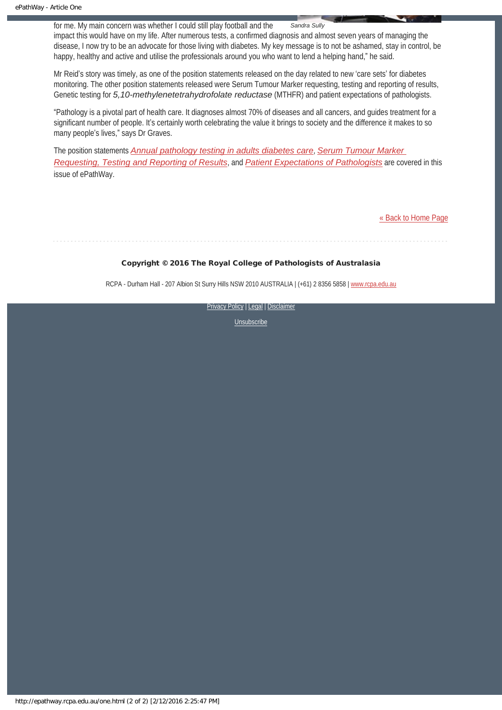for me. My main concern was whether I could still play football and the *Sandra Sully* impact this would have on my life. After numerous tests, a confirmed diagnosis and almost seven years of managing the disease, I now try to be an advocate for those living with diabetes. My key message is to not be ashamed, stay in control, be happy, healthy and active and utilise the professionals around you who want to lend a helping hand," he said.

Mr Reid's story was timely, as one of the position statements released on the day related to new 'care sets' for diabetes monitoring. The other position statements released were Serum Tumour Marker requesting, testing and reporting of results, Genetic testing for *5,10-methylenetetrahydrofolate reductase* (MTHFR) and patient expectations of pathologists.

"Pathology is a pivotal part of health care. It diagnoses almost 70% of diseases and all cancers, and guides treatment for a significant number of people. It's certainly worth celebrating the value it brings to society and the difference it makes to so many people's lives," says Dr Graves.

The position statements *[Annual pathology testing in adults diabetes care](http://www.rcpa.edu.au/Library/College-Policies/Position-Statements/Annual-pathology-testing-in-adult-diabetes-care.aspx)*, *[Serum Tumour Marker](http://www.rcpa.edu.au/Library/College-Policies/Position-Statements/Serum-Tumour-Marker-Requesting,-Testing-and-Report.aspx)  [Requesting, Testing and Reporting of Results](http://www.rcpa.edu.au/Library/College-Policies/Position-Statements/Serum-Tumour-Marker-Requesting,-Testing-and-Report.aspx)*, and *[Patient Expectations of Pathologists](http://www.rcpa.edu.au/Library/College-Policies/Position-Statements/Patient-expectations-of-Pathologists)* are covered in this issue of ePathWay.

[« Back to Home Page](http://epathway.rcpa.edu.au/index.html)

### Copyright © 2016 The Royal College of Pathologists of Australasia

RCPA - Durham Hall - 207 Albion St Surry Hills NSW 2010 AUSTRALIA | (+61) 2 8356 5858 | [www.rcpa.edu.au](https://www.rcpa.edu.au/)

[Privacy Policy](https://www.rcpa.edu.au/Content-Library/Privacy.aspx) | [Legal](https://www.rcpa.edu.au/Legal.aspx) | Disclaimer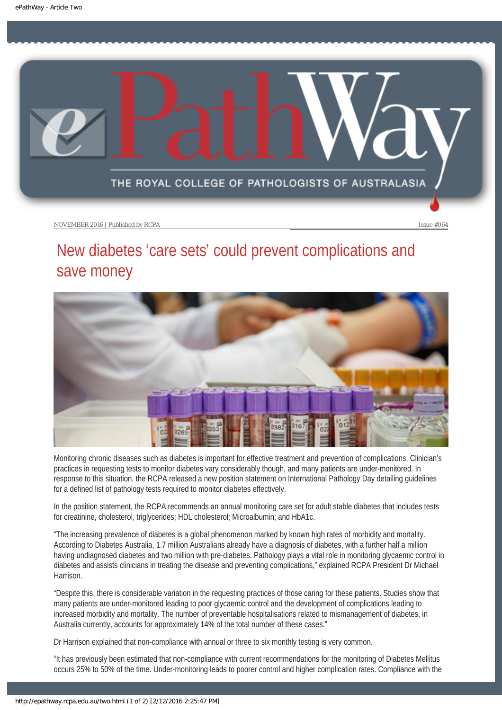<span id="page-8-0"></span>

# New diabetes 'care sets' could prevent complications and save money



Monitoring chronic diseases such as diabetes is important for effective treatment and prevention of complications. Clinician's practices in requesting tests to monitor diabetes vary considerably though, and many patients are under-monitored. In response to this situation, the RCPA released a new position statement on International Pathology Day detailing guidelines for a defined list of pathology tests required to monitor diabetes effectively.

In the position statement, the RCPA recommends an annual monitoring care set for adult stable diabetes that includes tests for creatinine, cholesterol, triglycerides; HDL cholesterol; Microalbumin; and HbA1c.

"The increasing prevalence of diabetes is a global phenomenon marked by known high rates of morbidity and mortality. According to Diabetes Australia, 1.7 million Australians already have a diagnosis of diabetes, with a further half a million having undiagnosed diabetes and two million with pre-diabetes. Pathology plays a vital role in monitoring glycaemic control in diabetes and assists clinicians in treating the disease and preventing complications," explained RCPA President Dr Michael Harrison.

"Despite this, there is considerable variation in the requesting practices of those caring for these patients. Studies show that many patients are under-monitored leading to poor glycaemic control and the development of complications leading to increased morbidity and mortality. The number of preventable hospitalisations related to mismanagement of diabetes, in Australia currently, accounts for approximately 14% of the total number of these cases."

Dr Harrison explained that non-compliance with annual or three to six monthly testing is very common.

"It has previously been estimated that non-compliance with current recommendations for the monitoring of Diabetes Mellitus occurs 25% to 50% of the time. Under-monitoring leads to poorer control and higher complication rates. Compliance with the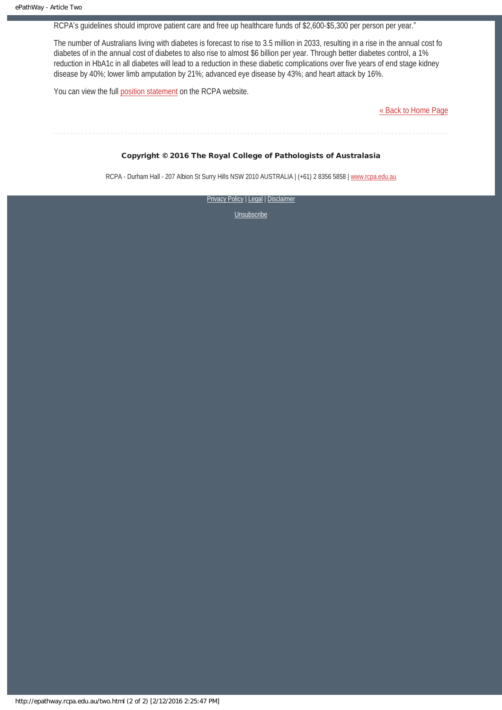RCPA's guidelines should improve patient care and free up healthcare funds of \$2,600-\$5,300 per person per year."

The number of Australians living with diabetes is forecast to rise to 3.5 million in 2033, resulting in a rise in the annual cost fo diabetes of in the annual cost of diabetes to also rise to almost \$6 billion per year. Through better diabetes control, a 1% reduction in HbA1c in all diabetes will lead to a reduction in these diabetic complications over five years of end stage kidney disease by 40%; lower limb amputation by 21%; advanced eye disease by 43%; and heart attack by 16%.

You can view the full [position statement](http://www.rcpa.edu.au/Library/College-Policies/Position-Statements/Annual-pathology-testing-in-adult-diabetes-care.aspx) on the RCPA website.

[« Back to Home Page](http://epathway.rcpa.edu.au/index.html)

#### Copyright © 2016 The Royal College of Pathologists of Australasia

RCPA - Durham Hall - 207 Albion St Surry Hills NSW 2010 AUSTRALIA | (+61) 2 8356 5858 | [www.rcpa.edu.au](https://www.rcpa.edu.au/)

[Privacy Policy](https://www.rcpa.edu.au/Content-Library/Privacy.aspx) | [Legal](https://www.rcpa.edu.au/Legal.aspx) | Disclaimer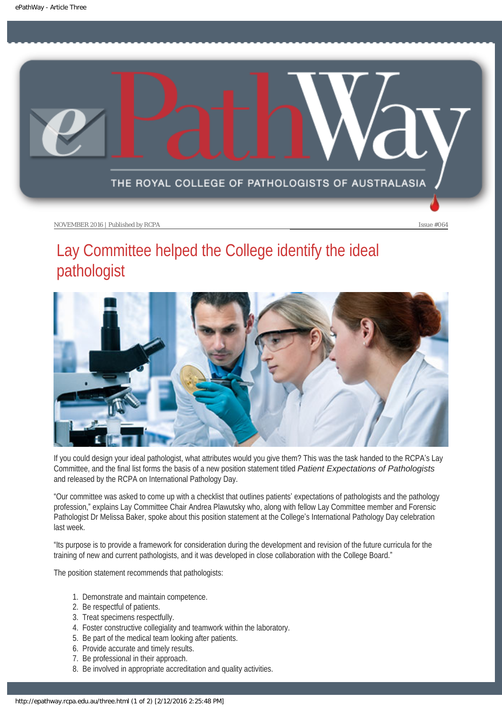<span id="page-10-0"></span>

# Lay Committee helped the College identify the ideal pathologist



If you could design your ideal pathologist, what attributes would you give them? This was the task handed to the RCPA's Lay Committee, and the final list forms the basis of a new position statement titled *Patient Expectations of Pathologists* and released by the RCPA on International Pathology Day.

"Our committee was asked to come up with a checklist that outlines patients' expectations of pathologists and the pathology profession," explains Lay Committee Chair Andrea Plawutsky who, along with fellow Lay Committee member and Forensic Pathologist Dr Melissa Baker, spoke about this position statement at the College's International Pathology Day celebration last week.

"Its purpose is to provide a framework for consideration during the development and revision of the future curricula for the training of new and current pathologists, and it was developed in close collaboration with the College Board."

The position statement recommends that pathologists:

- 1. Demonstrate and maintain competence.
- 2. Be respectful of patients.
- 3. Treat specimens respectfully.
- 4. Foster constructive collegiality and teamwork within the laboratory.
- 5. Be part of the medical team looking after patients.
- 6. Provide accurate and timely results.
- 7. Be professional in their approach.
- 8. Be involved in appropriate accreditation and quality activities.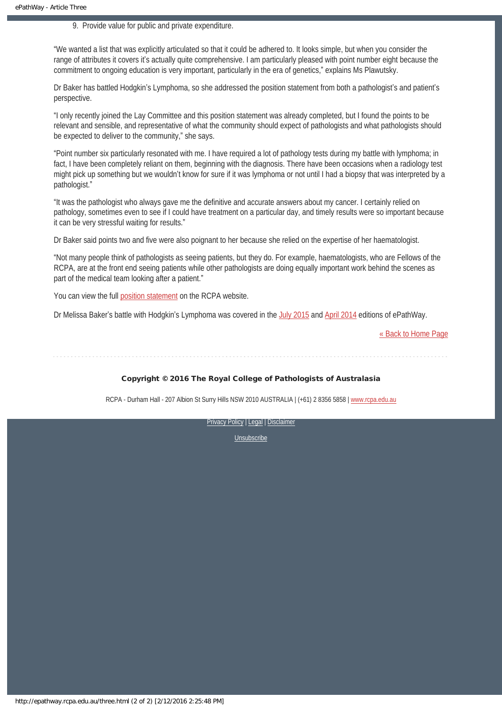9. Provide value for public and private expenditure.

"We wanted a list that was explicitly articulated so that it could be adhered to. It looks simple, but when you consider the range of attributes it covers it's actually quite comprehensive. I am particularly pleased with point number eight because the commitment to ongoing education is very important, particularly in the era of genetics," explains Ms Plawutsky.

Dr Baker has battled Hodgkin's Lymphoma, so she addressed the position statement from both a pathologist's and patient's perspective.

"I only recently joined the Lay Committee and this position statement was already completed, but I found the points to be relevant and sensible, and representative of what the community should expect of pathologists and what pathologists should be expected to deliver to the community," she says.

"Point number six particularly resonated with me. I have required a lot of pathology tests during my battle with lymphoma; in fact, I have been completely reliant on them, beginning with the diagnosis. There have been occasions when a radiology test might pick up something but we wouldn't know for sure if it was lymphoma or not until I had a biopsy that was interpreted by a pathologist."

"It was the pathologist who always gave me the definitive and accurate answers about my cancer. I certainly relied on pathology, sometimes even to see if I could have treatment on a particular day, and timely results were so important because it can be very stressful waiting for results."

Dr Baker said points two and five were also poignant to her because she relied on the expertise of her haematologist.

"Not many people think of pathologists as seeing patients, but they do. For example, haematologists, who are Fellows of the RCPA, are at the front end seeing patients while other pathologists are doing equally important work behind the scenes as part of the medical team looking after a patient."

You can view the full [position statement](http://www.rcpa.edu.au/Library/College-Policies/Position-Statements/Patient-expectations-of-Pathologists) on the RCPA website.

Dr Melissa Baker's battle with Hodgkin's Lymphoma was covered in the [July 2015](https://www.rcpa.edu.au/getattachment/a85d8916-c34a-4eaf-8fce-e212d2192818/ePathway-Issue-49.aspx) and [April 2014](https://www.rcpa.edu.au/getattachment/fa099cdb-11db-4c3c-a118-c1afe3293c90/ePathway-Issue-35.aspx) editions of ePathWay.

[« Back to Home Page](http://epathway.rcpa.edu.au/index.html)

#### Copyright © 2016 The Royal College of Pathologists of Australasia

RCPA - Durham Hall - 207 Albion St Surry Hills NSW 2010 AUSTRALIA | (+61) 2 8356 5858 | [www.rcpa.edu.au](https://www.rcpa.edu.au/)

[Privacy Policy](https://www.rcpa.edu.au/Content-Library/Privacy.aspx) | [Legal](https://www.rcpa.edu.au/Legal.aspx) | Disclaimer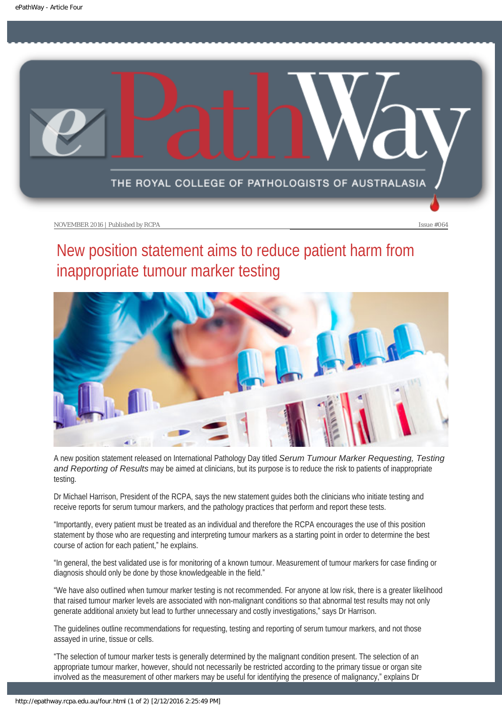<span id="page-12-0"></span>

# New position statement aims to reduce patient harm from inappropriate tumour marker testing



A new position statement released on International Pathology Day titled *Serum Tumour Marker Requesting, Testing and Reporting of Results* may be aimed at clinicians, but its purpose is to reduce the risk to patients of inappropriate testing.

Dr Michael Harrison, President of the RCPA, says the new statement guides both the clinicians who initiate testing and receive reports for serum tumour markers, and the pathology practices that perform and report these tests.

"Importantly, every patient must be treated as an individual and therefore the RCPA encourages the use of this position statement by those who are requesting and interpreting tumour markers as a starting point in order to determine the best course of action for each patient," he explains.

"In general, the best validated use is for monitoring of a known tumour. Measurement of tumour markers for case finding or diagnosis should only be done by those knowledgeable in the field."

"We have also outlined when tumour marker testing is not recommended. For anyone at low risk, there is a greater likelihood that raised tumour marker levels are associated with non-malignant conditions so that abnormal test results may not only generate additional anxiety but lead to further unnecessary and costly investigations," says Dr Harrison.

The guidelines outline recommendations for requesting, testing and reporting of serum tumour markers, and not those assayed in urine, tissue or cells.

"The selection of tumour marker tests is generally determined by the malignant condition present. The selection of an appropriate tumour marker, however, should not necessarily be restricted according to the primary tissue or organ site involved as the measurement of other markers may be useful for identifying the presence of malignancy," explains Dr